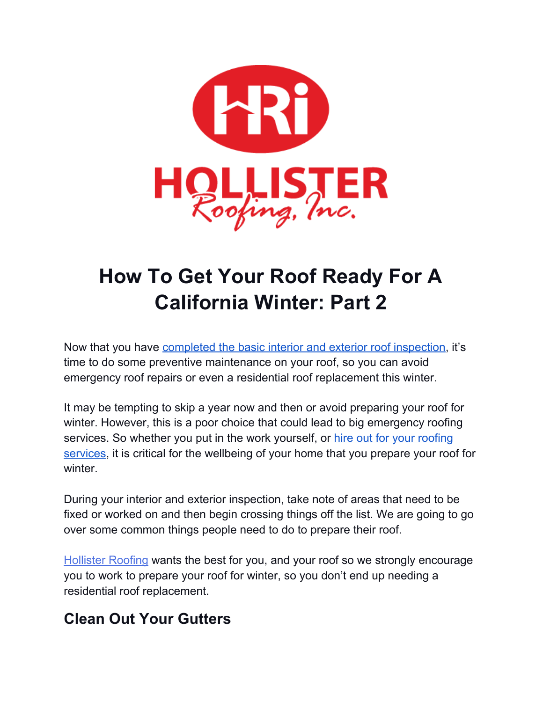

# **How To Get Your Roof Ready For A California Winter: Part 2**

Now that you have [completed](https://hollisterroofing.com/2020/10/get-roof-ready-for-california-winter-part-1/) the basic interior and exterior roof inspection, it's time to do some preventive maintenance on your roof, so you can avoid emergency roof repairs or even a residential roof replacement this winter.

It may be tempting to skip a year now and then or avoid preparing your roof for winter. However, this is a poor choice that could lead to big emergency roofing services. So whether you put in the work yourself, or hire out for your [roofing](https://hollisterroofing.com/services/) [services,](https://hollisterroofing.com/services/) it is critical for the wellbeing of your home that you prepare your roof for winter.

During your interior and exterior inspection, take note of areas that need to be fixed or worked on and then begin crossing things off the list. We are going to go over some common things people need to do to prepare their roof.

[Hollister](https://hollisterroofing.com/) Roofing wants the best for you, and your roof so we strongly encourage you to work to prepare your roof for winter, so you don't end up needing a residential roof replacement.

## **Clean Out Your Gutters**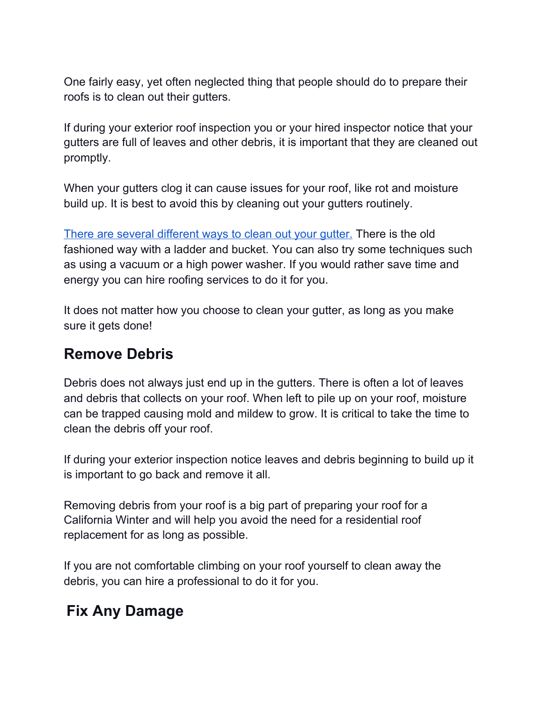One fairly easy, yet often neglected thing that people should do to prepare their roofs is to clean out their gutters.

If during your exterior roof inspection you or your hired inspector notice that your gutters are full of leaves and other debris, it is important that they are cleaned out promptly.

When your gutters clog it can cause issues for your roof, like rot and moisture build up. It is best to avoid this by cleaning out your gutters routinely.

There are several [different](https://hollisterroofing.com/2020/03/how-to-clean-your-gutters-from-the-ground-and-maintain-them-this-spring/) ways to clean out your gutter. There is the old fashioned way with a ladder and bucket. You can also try some techniques such as using a vacuum or a high power washer. If you would rather save time and energy you can hire roofing services to do it for you.

It does not matter how you choose to clean your gutter, as long as you make sure it gets done!

#### **Remove Debris**

Debris does not always just end up in the gutters. There is often a lot of leaves and debris that collects on your roof. When left to pile up on your roof, moisture can be trapped causing mold and mildew to grow. It is critical to take the time to clean the debris off your roof.

If during your exterior inspection notice leaves and debris beginning to build up it is important to go back and remove it all.

Removing debris from your roof is a big part of preparing your roof for a California Winter and will help you avoid the need for a residential roof replacement for as long as possible.

If you are not comfortable climbing on your roof yourself to clean away the debris, you can hire a professional to do it for you.

## **Fix Any Damage**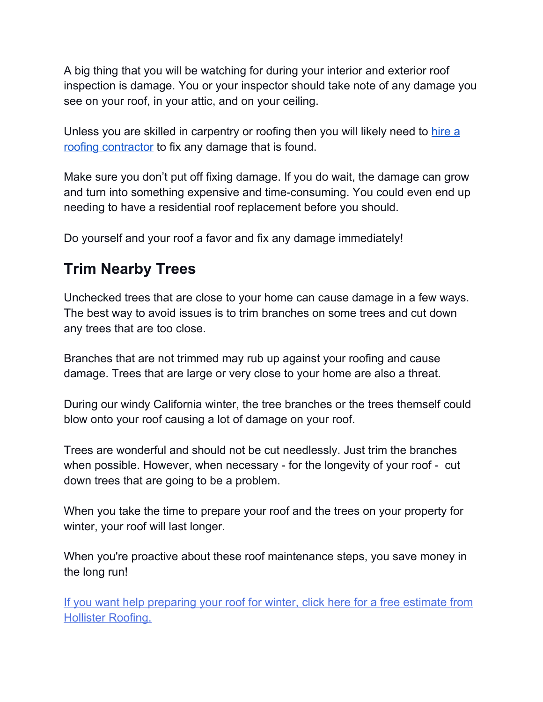A big thing that you will be watching for during your interior and exterior roof inspection is damage. You or your inspector should take note of any damage you see on your roof, in your attic, and on your ceiling.

Unless you are skilled in carpentry or roofing then you will likely need to [hire](https://hollisterroofing.com/our-work/) a roofing [contractor](https://hollisterroofing.com/our-work/) to fix any damage that is found.

Make sure you don't put off fixing damage. If you do wait, the damage can grow and turn into something expensive and time-consuming. You could even end up needing to have a residential roof replacement before you should.

Do yourself and your roof a favor and fix any damage immediately!

#### **Trim Nearby Trees**

Unchecked trees that are close to your home can cause damage in a few ways. The best way to avoid issues is to trim branches on some trees and cut down any trees that are too close.

Branches that are not trimmed may rub up against your roofing and cause damage. Trees that are large or very close to your home are also a threat.

During our windy California winter, the tree branches or the trees themself could blow onto your roof causing a lot of damage on your roof.

Trees are wonderful and should not be cut needlessly. Just trim the branches when possible. However, when necessary - for the longevity of your roof - cut down trees that are going to be a problem.

When you take the time to prepare your roof and the trees on your property for winter, your roof will last longer.

When you're proactive about these roof maintenance steps, you save money in the long run!

If you want help [preparing](https://hollisterroofing.com/get-free-estimate/) your roof for winter, click here for a free estimate from Hollister [Roofing.](https://hollisterroofing.com/get-free-estimate/)